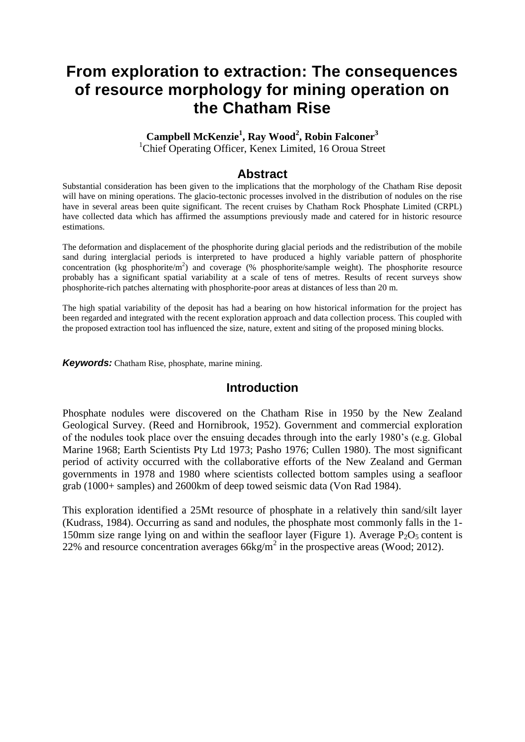# **From exploration to extraction: The consequences of resource morphology for mining operation on the Chatham Rise**

**Campbell McKenzie<sup>1</sup> , Ray Wood<sup>2</sup> , Robin Falconer<sup>3</sup>**

<sup>1</sup>Chief Operating Officer, Kenex Limited, 16 Oroua Street

## **Abstract**

Substantial consideration has been given to the implications that the morphology of the Chatham Rise deposit will have on mining operations. The glacio-tectonic processes involved in the distribution of nodules on the rise have in several areas been quite significant. The recent cruises by Chatham Rock Phosphate Limited (CRPL) have collected data which has affirmed the assumptions previously made and catered for in historic resource estimations.

The deformation and displacement of the phosphorite during glacial periods and the redistribution of the mobile sand during interglacial periods is interpreted to have produced a highly variable pattern of phosphorite concentration (kg phosphorite/m<sup>2</sup>) and coverage (% phosphorite/sample weight). The phosphorite resource probably has a significant spatial variability at a scale of tens of metres. Results of recent surveys show phosphorite-rich patches alternating with phosphorite-poor areas at distances of less than 20 m.

The high spatial variability of the deposit has had a bearing on how historical information for the project has been regarded and integrated with the recent exploration approach and data collection process. This coupled with the proposed extraction tool has influenced the size, nature, extent and siting of the proposed mining blocks.

*Keywords:* Chatham Rise, phosphate, marine mining.

### **Introduction**

Phosphate nodules were discovered on the Chatham Rise in 1950 by the New Zealand Geological Survey. (Reed and Hornibrook, 1952). Government and commercial exploration of the nodules took place over the ensuing decades through into the early 1980's (e.g. Global Marine 1968; Earth Scientists Pty Ltd 1973; Pasho 1976; Cullen 1980). The most significant period of activity occurred with the collaborative efforts of the New Zealand and German governments in 1978 and 1980 where scientists collected bottom samples using a seafloor grab (1000+ samples) and 2600km of deep towed seismic data (Von Rad 1984).

This exploration identified a 25Mt resource of phosphate in a relatively thin sand/silt layer (Kudrass, 1984). Occurring as sand and nodules, the phosphate most commonly falls in the 1- 150mm size range lying on and within the seafloor layer (Figure 1). Average  $P_2O_5$  content is 22% and resource concentration averages  $66\text{kg/m}^2$  in the prospective areas (Wood; 2012).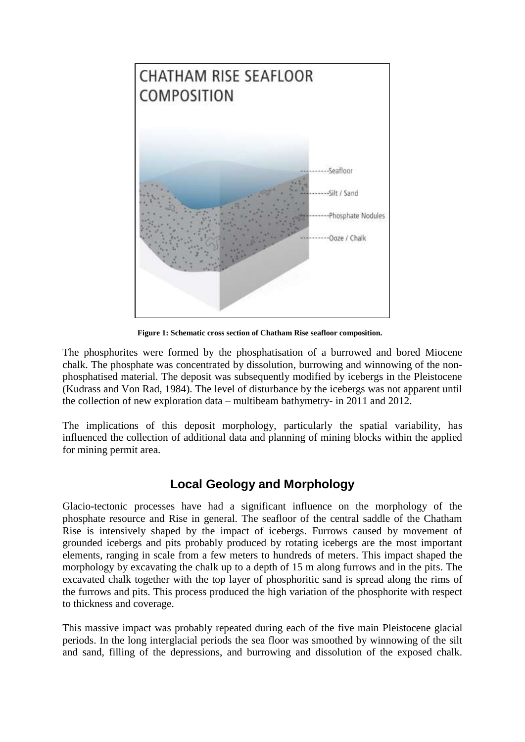

**Figure 1: Schematic cross section of Chatham Rise seafloor composition.**

The phosphorites were formed by the phosphatisation of a burrowed and bored Miocene chalk. The phosphate was concentrated by dissolution, burrowing and winnowing of the nonphosphatised material. The deposit was subsequently modified by icebergs in the Pleistocene (Kudrass and Von Rad, 1984). The level of disturbance by the icebergs was not apparent until the collection of new exploration data – multibeam bathymetry- in 2011 and 2012.

The implications of this deposit morphology, particularly the spatial variability, has influenced the collection of additional data and planning of mining blocks within the applied for mining permit area.

# **Local Geology and Morphology**

Glacio-tectonic processes have had a significant influence on the morphology of the phosphate resource and Rise in general. The seafloor of the central saddle of the Chatham Rise is intensively shaped by the impact of icebergs. Furrows caused by movement of grounded icebergs and pits probably produced by rotating icebergs are the most important elements, ranging in scale from a few meters to hundreds of meters. This impact shaped the morphology by excavating the chalk up to a depth of 15 m along furrows and in the pits. The excavated chalk together with the top layer of phosphoritic sand is spread along the rims of the furrows and pits. This process produced the high variation of the phosphorite with respect to thickness and coverage.

This massive impact was probably repeated during each of the five main Pleistocene glacial periods. In the long interglacial periods the sea floor was smoothed by winnowing of the silt and sand, filling of the depressions, and burrowing and dissolution of the exposed chalk.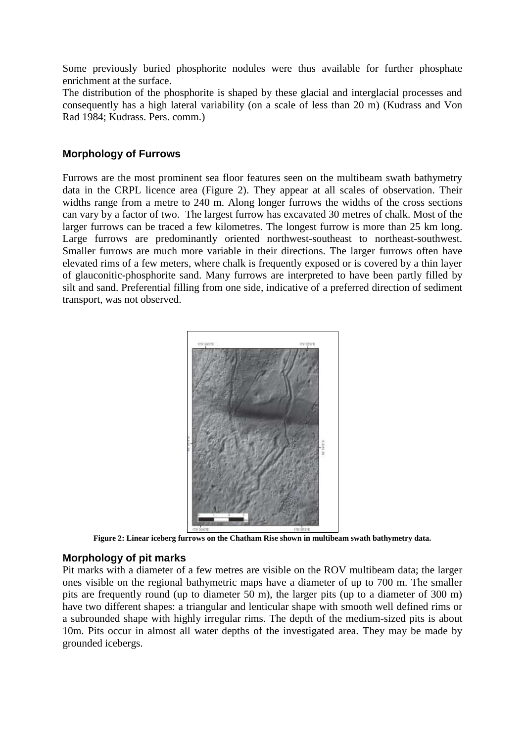Some previously buried phosphorite nodules were thus available for further phosphate enrichment at the surface.

The distribution of the phosphorite is shaped by these glacial and interglacial processes and consequently has a high lateral variability (on a scale of less than 20 m) (Kudrass and Von Rad 1984; Kudrass. Pers. comm.)

#### **Morphology of Furrows**

Furrows are the most prominent sea floor features seen on the multibeam swath bathymetry data in the CRPL licence area (Figure 2). They appear at all scales of observation. Their widths range from a metre to 240 m. Along longer furrows the widths of the cross sections can vary by a factor of two. The largest furrow has excavated 30 metres of chalk. Most of the larger furrows can be traced a few kilometres. The longest furrow is more than 25 km long. Large furrows are predominantly oriented northwest-southeast to northeast-southwest. Smaller furrows are much more variable in their directions. The larger furrows often have elevated rims of a few meters, where chalk is frequently exposed or is covered by a thin layer of glauconitic-phosphorite sand. Many furrows are interpreted to have been partly filled by silt and sand. Preferential filling from one side, indicative of a preferred direction of sediment transport, was not observed.



**Figure 2: Linear iceberg furrows on the Chatham Rise shown in multibeam swath bathymetry data.**

#### **Morphology of pit marks**

Pit marks with a diameter of a few metres are visible on the ROV multibeam data; the larger ones visible on the regional bathymetric maps have a diameter of up to 700 m. The smaller pits are frequently round (up to diameter 50 m), the larger pits (up to a diameter of 300 m) have two different shapes: a triangular and lenticular shape with smooth well defined rims or a subrounded shape with highly irregular rims. The depth of the medium-sized pits is about 10m. Pits occur in almost all water depths of the investigated area. They may be made by grounded icebergs.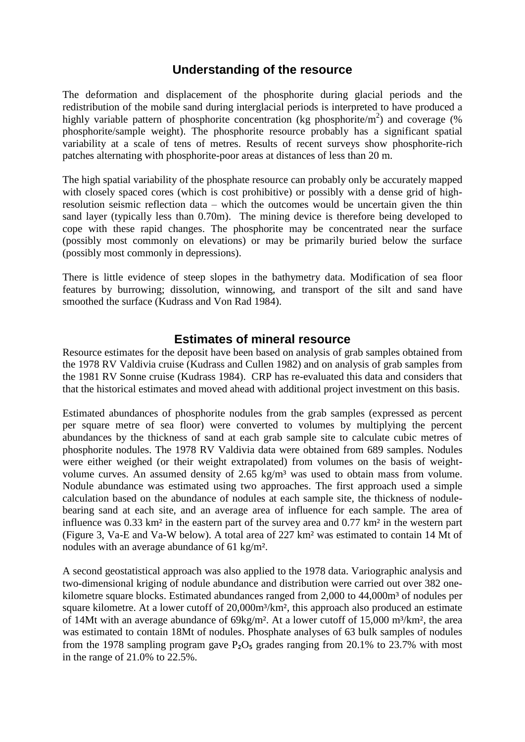## **Understanding of the resource**

The deformation and displacement of the phosphorite during glacial periods and the redistribution of the mobile sand during interglacial periods is interpreted to have produced a highly variable pattern of phosphorite concentration (kg phosphorite/m<sup>2</sup>) and coverage (% phosphorite/sample weight). The phosphorite resource probably has a significant spatial variability at a scale of tens of metres. Results of recent surveys show phosphorite-rich patches alternating with phosphorite-poor areas at distances of less than 20 m.

The high spatial variability of the phosphate resource can probably only be accurately mapped with closely spaced cores (which is cost prohibitive) or possibly with a dense grid of highresolution seismic reflection data – which the outcomes would be uncertain given the thin sand layer (typically less than 0.70m). The mining device is therefore being developed to cope with these rapid changes. The phosphorite may be concentrated near the surface (possibly most commonly on elevations) or may be primarily buried below the surface (possibly most commonly in depressions).

There is little evidence of steep slopes in the bathymetry data. Modification of sea floor features by burrowing; dissolution, winnowing, and transport of the silt and sand have smoothed the surface (Kudrass and Von Rad 1984).

#### **Estimates of mineral resource**

Resource estimates for the deposit have been based on analysis of grab samples obtained from the 1978 RV Valdivia cruise (Kudrass and Cullen 1982) and on analysis of grab samples from the 1981 RV Sonne cruise (Kudrass 1984). CRP has re-evaluated this data and considers that that the historical estimates and moved ahead with additional project investment on this basis.

Estimated abundances of phosphorite nodules from the grab samples (expressed as percent per square metre of sea floor) were converted to volumes by multiplying the percent abundances by the thickness of sand at each grab sample site to calculate cubic metres of phosphorite nodules. The 1978 RV Valdivia data were obtained from 689 samples. Nodules were either weighed (or their weight extrapolated) from volumes on the basis of weightvolume curves. An assumed density of  $2.65 \text{ kg/m}^3$  was used to obtain mass from volume. Nodule abundance was estimated using two approaches. The first approach used a simple calculation based on the abundance of nodules at each sample site, the thickness of nodulebearing sand at each site, and an average area of influence for each sample. The area of influence was 0.33 km² in the eastern part of the survey area and 0.77 km² in the western part (Figure 3, Va-E and Va-W below). A total area of 227 km² was estimated to contain 14 Mt of nodules with an average abundance of 61 kg/m².

A second geostatistical approach was also applied to the 1978 data. Variographic analysis and two-dimensional kriging of nodule abundance and distribution were carried out over 382 onekilometre square blocks. Estimated abundances ranged from 2,000 to 44,000m<sup>3</sup> of nodules per square kilometre. At a lower cutoff of 20,000m<sup>3</sup>/km<sup>2</sup>, this approach also produced an estimate of 14Mt with an average abundance of  $69kg/m^2$ . At a lower cutoff of 15,000 m<sup>3</sup>/km<sup>2</sup>, the area was estimated to contain 18Mt of nodules. Phosphate analyses of 63 bulk samples of nodules from the 1978 sampling program gave  $P_2O_5$  grades ranging from 20.1% to 23.7% with most in the range of 21.0% to 22.5%.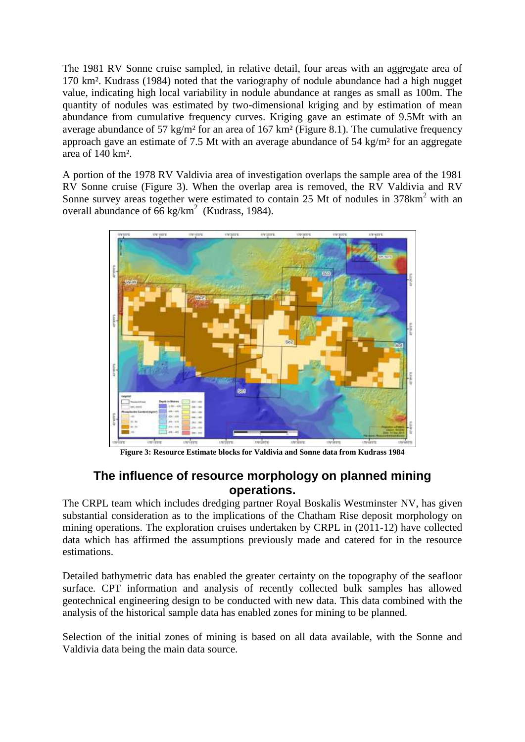The 1981 RV Sonne cruise sampled, in relative detail, four areas with an aggregate area of 170 km². Kudrass (1984) noted that the variography of nodule abundance had a high nugget value, indicating high local variability in nodule abundance at ranges as small as 100m. The quantity of nodules was estimated by two-dimensional kriging and by estimation of mean abundance from cumulative frequency curves. Kriging gave an estimate of 9.5Mt with an average abundance of 57 kg/m² for an area of 167 km² (Figure 8.1). The cumulative frequency approach gave an estimate of 7.5 Mt with an average abundance of 54 kg/m² for an aggregate area of 140 km².

A portion of the 1978 RV Valdivia area of investigation overlaps the sample area of the 1981 RV Sonne cruise (Figure 3). When the overlap area is removed, the RV Valdivia and RV Sonne survey areas together were estimated to contain 25 Mt of nodules in 378km<sup>2</sup> with an overall abundance of 66 kg/km<sup>2</sup> (Kudrass, 1984).



**Figure 3: Resource Estimate blocks for Valdivia and Sonne data from Kudrass 1984**

# **The influence of resource morphology on planned mining operations.**

The CRPL team which includes dredging partner Royal Boskalis Westminster NV, has given substantial consideration as to the implications of the Chatham Rise deposit morphology on mining operations. The exploration cruises undertaken by CRPL in (2011-12) have collected data which has affirmed the assumptions previously made and catered for in the resource estimations.

Detailed bathymetric data has enabled the greater certainty on the topography of the seafloor surface. CPT information and analysis of recently collected bulk samples has allowed geotechnical engineering design to be conducted with new data. This data combined with the analysis of the historical sample data has enabled zones for mining to be planned.

Selection of the initial zones of mining is based on all data available, with the Sonne and Valdivia data being the main data source.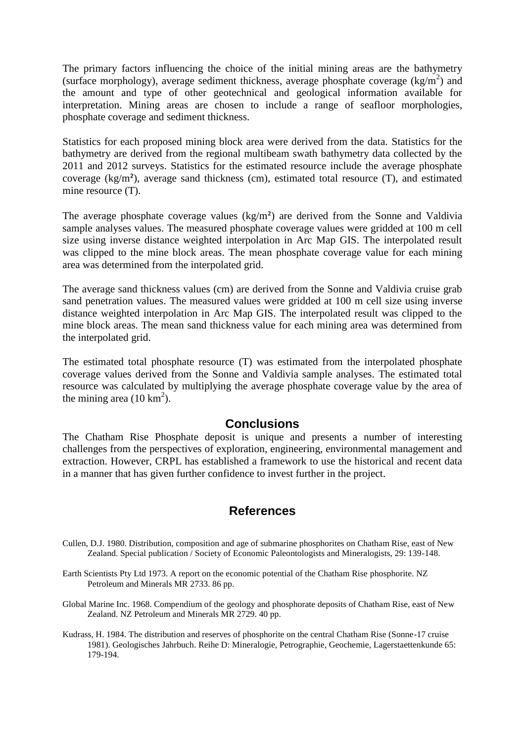The primary factors influencing the choice of the initial mining areas are the bathymetry (surface morphology), average sediment thickness, average phosphate coverage  $(kg/m<sup>2</sup>)$  and the amount and type of other geotechnical and geological information available for interpretation. Mining areas are chosen to include a range of seafloor morphologies, phosphate coverage and sediment thickness.

Statistics for each proposed mining block area were derived from the data. Statistics for the bathymetry are derived from the regional multibeam swath bathymetry data collected by the 2011 and 2012 surveys. Statistics for the estimated resource include the average phosphate coverage (kg/m²), average sand thickness (cm), estimated total resource (T), and estimated mine resource (T).

The average phosphate coverage values  $(kg/m<sup>2</sup>)$  are derived from the Sonne and Valdivia sample analyses values. The measured phosphate coverage values were gridded at 100 m cell size using inverse distance weighted interpolation in Arc Map GIS. The interpolated result was clipped to the mine block areas. The mean phosphate coverage value for each mining area was determined from the interpolated grid.

The average sand thickness values (cm) are derived from the Sonne and Valdivia cruise grab sand penetration values. The measured values were gridded at 100 m cell size using inverse distance weighted interpolation in Arc Map GIS. The interpolated result was clipped to the mine block areas. The mean sand thickness value for each mining area was determined from the interpolated grid.

The estimated total phosphate resource (T) was estimated from the interpolated phosphate coverage values derived from the Sonne and Valdivia sample analyses. The estimated total resource was calculated by multiplying the average phosphate coverage value by the area of the mining area  $(10 \text{ km}^2)$ .

### **Conclusions**

The Chatham Rise Phosphate deposit is unique and presents a number of interesting challenges from the perspectives of exploration, engineering, environmental management and extraction. However, CRPL has established a framework to use the historical and recent data in a manner that has given further confidence to invest further in the project.

# **References**

- Cullen, D.J. 1980. Distribution, composition and age of submarine phosphorites on Chatham Rise, east of New Zealand. Special publication / Society of Economic Paleontologists and Mineralogists, 29: 139-148.
- Earth Scientists Pty Ltd 1973. A report on the economic potential of the Chatham Rise phosphorite. NZ Petroleum and Minerals MR 2733. 86 pp.
- Global Marine Inc. 1968. Compendium of the geology and phosphorate deposits of Chatham Rise, east of New Zealand. NZ Petroleum and Minerals MR 2729. 40 pp.
- Kudrass, H. 1984. The distribution and reserves of phosphorite on the central Chatham Rise (Sonne-17 cruise 1981). Geologisches Jahrbuch. Reihe D: Mineralogie, Petrographie, Geochemie, Lagerstaettenkunde 65: 179-194.